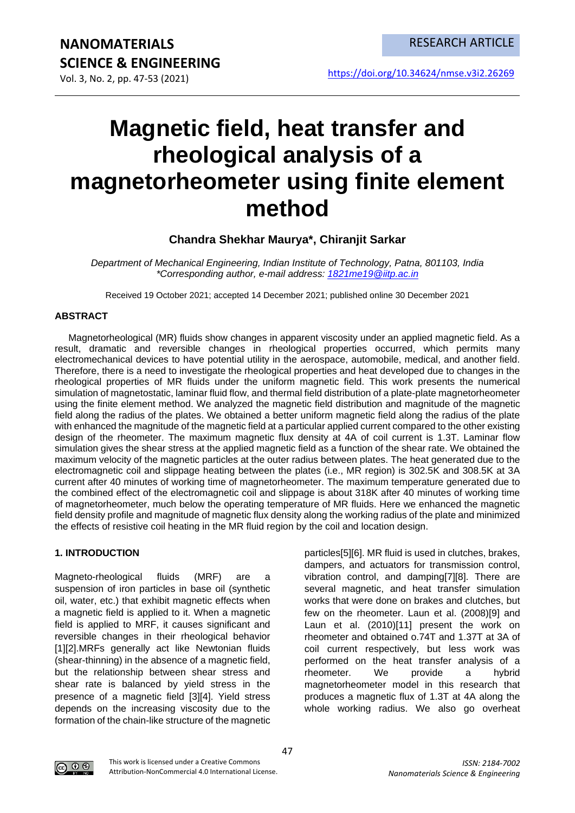Vol. 3, No. 2, pp. 47-53 (2021)

# **Magnetic field, heat transfer and rheological analysis of a magnetorheometer using finite element method**

# **Chandra Shekhar Maurya\*, Chiranjit Sarkar**

*Department of Mechanical Engineering, Indian Institute of Technology, Patna, 801103, India \*Corresponding author, e-mail address: [1821me19@iitp.ac.in](mailto:1821me19@iitp.ac.in)*

Received 19 October 2021; accepted 14 December 2021; published online 30 December 2021

# **ABSTRACT**

Magnetorheological (MR) fluids show changes in apparent viscosity under an applied magnetic field. As a result, dramatic and reversible changes in rheological properties occurred, which permits many electromechanical devices to have potential utility in the aerospace, automobile, medical, and another field. Therefore, there is a need to investigate the rheological properties and heat developed due to changes in the rheological properties of MR fluids under the uniform magnetic field. This work presents the numerical simulation of magnetostatic, laminar fluid flow, and thermal field distribution of a plate-plate magnetorheometer using the finite element method. We analyzed the magnetic field distribution and magnitude of the magnetic field along the radius of the plates. We obtained a better uniform magnetic field along the radius of the plate with enhanced the magnitude of the magnetic field at a particular applied current compared to the other existing design of the rheometer. The maximum magnetic flux density at 4A of coil current is 1.3T. Laminar flow simulation gives the shear stress at the applied magnetic field as a function of the shear rate. We obtained the maximum velocity of the magnetic particles at the outer radius between plates. The heat generated due to the electromagnetic coil and slippage heating between the plates (i.e., MR region) is 302.5K and 308.5K at 3A current after 40 minutes of working time of magnetorheometer. The maximum temperature generated due to the combined effect of the electromagnetic coil and slippage is about 318K after 40 minutes of working time of magnetorheometer, much below the operating temperature of MR fluids. Here we enhanced the magnetic field density profile and magnitude of magnetic flux density along the working radius of the plate and minimized the effects of resistive coil heating in the MR fluid region by the coil and location design.

# **1. INTRODUCTION**

Magneto-rheological fluids (MRF) are a suspension of iron particles in base oil (synthetic oil, water, etc.) that exhibit magnetic effects when a magnetic field is applied to it. When a magnetic field is applied to MRF, it causes significant and reversible changes in their rheological behavior [1][2].MRFs generally act like Newtonian fluids (shear-thinning) in the absence of a magnetic field, but the relationship between shear stress and shear rate is balanced by yield stress in the presence of a magnetic field [3][4]. Yield stress depends on the increasing viscosity due to the formation of the chain-like structure of the magnetic

particles[5][6]. MR fluid is used in clutches, brakes, dampers, and actuators for transmission control, vibration control, and damping[7][8]. There are several magnetic, and heat transfer simulation works that were done on brakes and clutches, but few on the rheometer. Laun et al. (2008)[9] and Laun et al. (2010)[11] present the work on rheometer and obtained o.74T and 1.37T at 3A of coil current respectively, but less work was performed on the heat transfer analysis of a rheometer. We provide a hybrid magnetorheometer model in this research that produces a magnetic flux of 1.3T at 4A along the whole working radius. We also go overheat

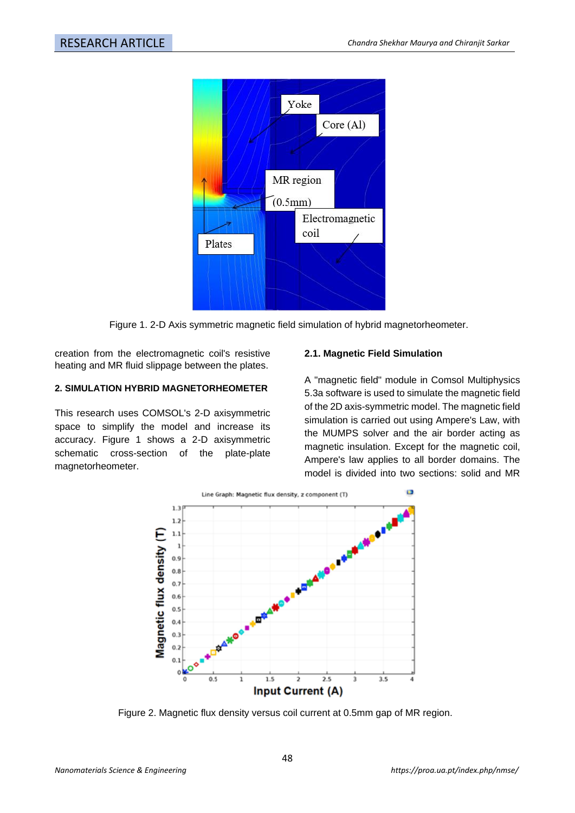

Figure 1. 2-D Axis symmetric magnetic field simulation of hybrid magnetorheometer.

creation from the electromagnetic coil's resistive heating and MR fluid slippage between the plates.

### **2. SIMULATION HYBRID MAGNETORHEOMETER**

This research uses COMSOL's 2-D axisymmetric space to simplify the model and increase its accuracy. Figure 1 shows a 2-D axisymmetric schematic cross-section of the plate-plate magnetorheometer.

### **2.1. Magnetic Field Simulation**

A "magnetic field" module in Comsol Multiphysics 5.3a software is used to simulate the magnetic field of the 2D axis-symmetric model. The magnetic field simulation is carried out using Ampere's Law, with the MUMPS solver and the air border acting as magnetic insulation. Except for the magnetic coil, Ampere's law applies to all border domains. The model is divided into two sections: solid and MR



Figure 2. Magnetic flux density versus coil current at 0.5mm gap of MR region.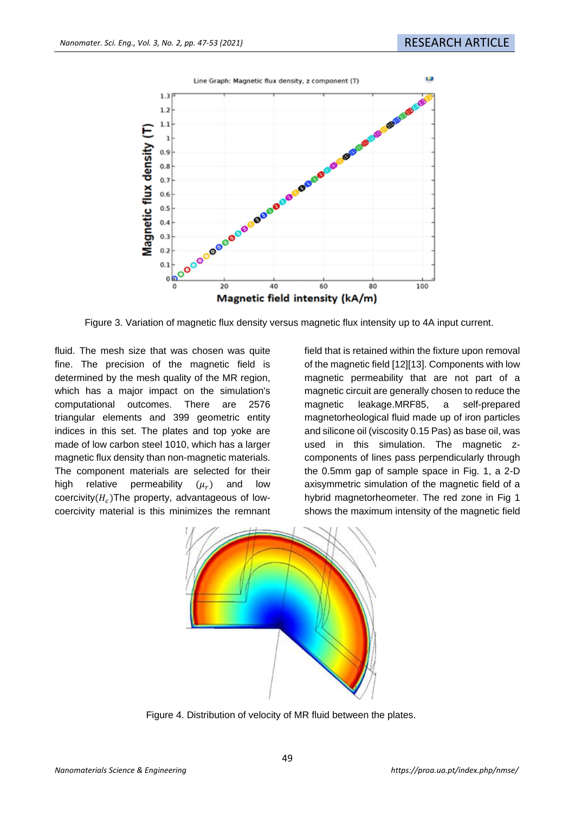

Figure 3. Variation of magnetic flux density versus magnetic flux intensity up to 4A input current.

fluid. The mesh size that was chosen was quite fine. The precision of the magnetic field is determined by the mesh quality of the MR region, which has a major impact on the simulation's computational outcomes. There are 2576 triangular elements and 399 geometric entity indices in this set. The plates and top yoke are made of low carbon steel 1010, which has a larger magnetic flux density than non-magnetic materials. The component materials are selected for their high relative permeability  $(\mu_r)$ ) and low coercivity $(H_c)$ The property, advantageous of lowcoercivity material is this minimizes the remnant

field that is retained within the fixture upon removal of the magnetic field [12][13]. Components with low magnetic permeability that are not part of a magnetic circuit are generally chosen to reduce the magnetic leakage.MRF85, a self-prepared magnetorheological fluid made up of iron particles and silicone oil (viscosity 0.15 Pas) as base oil, was used in this simulation. The magnetic zcomponents of lines pass perpendicularly through the 0.5mm gap of sample space in Fig. 1, a 2-D axisymmetric simulation of the magnetic field of a hybrid magnetorheometer. The red zone in Fig 1 shows the maximum intensity of the magnetic field



Figure 4. Distribution of velocity of MR fluid between the plates.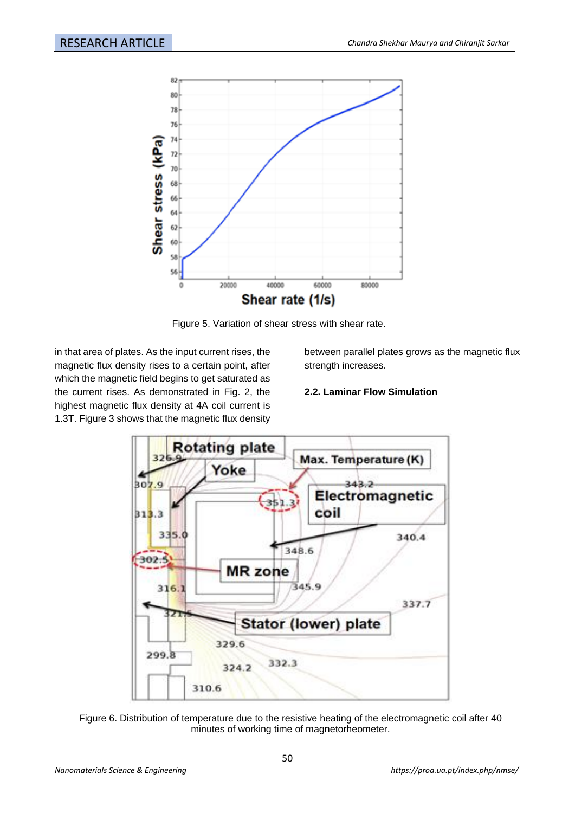

Figure 5. Variation of shear stress with shear rate.

in that area of plates. As the input current rises, the magnetic flux density rises to a certain point, after which the magnetic field begins to get saturated as the current rises. As demonstrated in Fig. 2, the highest magnetic flux density at 4A coil current is 1.3T. Figure 3 shows that the magnetic flux density

between parallel plates grows as the magnetic flux strength increases.

# **2.2. Laminar Flow Simulation**



Figure 6. Distribution of temperature due to the resistive heating of the electromagnetic coil after 40 minutes of working time of magnetorheometer.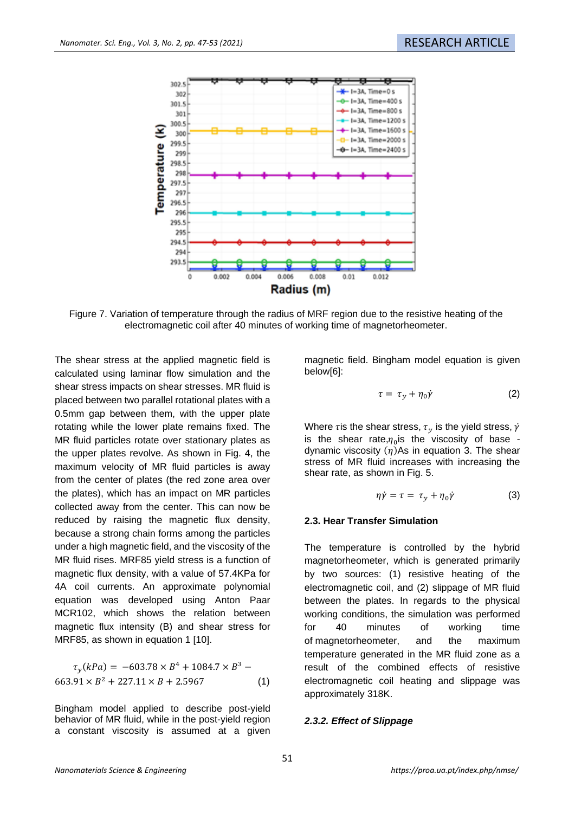

Figure 7. Variation of temperature through the radius of MRF region due to the resistive heating of the electromagnetic coil after 40 minutes of working time of magnetorheometer.

The shear stress at the applied magnetic field is calculated using laminar flow simulation and the shear stress impacts on shear stresses. MR fluid is placed between two parallel rotational plates with a 0.5mm gap between them, with the upper plate rotating while the lower plate remains fixed. The MR fluid particles rotate over stationary plates as the upper plates revolve. As shown in Fig. 4, the maximum velocity of MR fluid particles is away from the center of plates (the red zone area over the plates), which has an impact on MR particles collected away from the center. This can now be reduced by raising the magnetic flux density, because a strong chain forms among the particles under a high magnetic field, and the viscosity of the MR fluid rises. MRF85 yield stress is a function of magnetic flux density, with a value of 57.4KPa for 4A coil currents. An approximate polynomial equation was developed using Anton Paar MCR102, which shows the relation between magnetic flux intensity (B) and shear stress for MRF85, as shown in equation 1 [10].

$$
\tau_y(kPa) = -603.78 \times B^4 + 1084.7 \times B^3 - 663.91 \times B^2 + 227.11 \times B + 2.5967
$$
 (1)

Bingham model applied to describe post-yield behavior of MR fluid, while in the post-yield region a constant viscosity is assumed at a given

magnetic field. Bingham model equation is given below[6]:

$$
\tau = \tau_y + \eta_0 \dot{\gamma} \tag{2}
$$

Where *t* is the shear stress,  $\tau_v$  is the yield stress,  $\dot{\gamma}$ is the shear rate, $\eta_0$ is the viscosity of base dynamic viscosity  $(n)$ As in equation 3. The shear stress of MR fluid increases with increasing the shear rate, as shown in Fig. 5.

$$
\eta \dot{\gamma} = \tau = \tau_y + \eta_0 \dot{\gamma} \tag{3}
$$

#### **2.3. Hear Transfer Simulation**

The temperature is controlled by the hybrid magnetorheometer, which is generated primarily by two sources: (1) resistive heating of the electromagnetic coil, and (2) slippage of MR fluid between the plates. In regards to the physical working conditions, the simulation was performed for 40 minutes of working time of magnetorheometer, and the maximum temperature generated in the MR fluid zone as a result of the combined effects of resistive electromagnetic coil heating and slippage was approximately 318K.

#### *2.3.2. Effect of Slippage*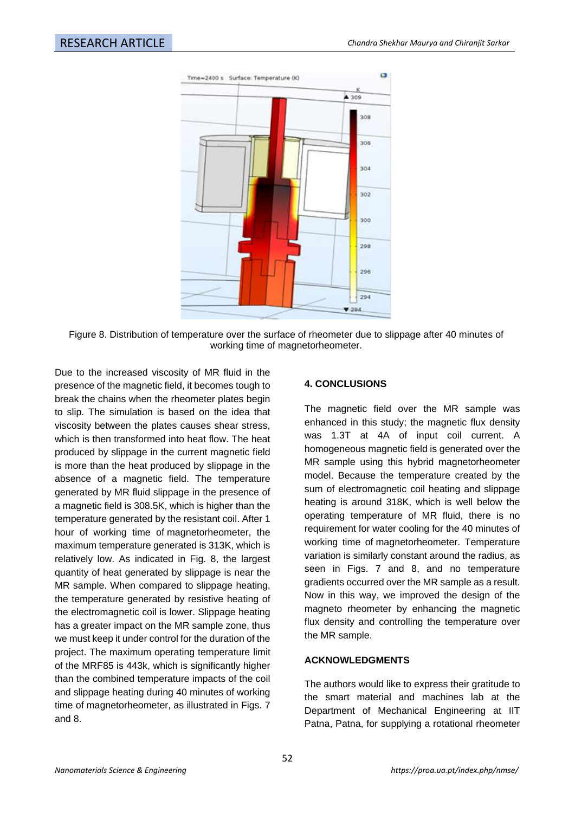

Figure 8. Distribution of temperature over the surface of rheometer due to slippage after 40 minutes of working time of magnetorheometer.

Due to the increased viscosity of MR fluid in the presence of the magnetic field, it becomes tough to break the chains when the rheometer plates begin to slip. The simulation is based on the idea that viscosity between the plates causes shear stress, which is then transformed into heat flow. The heat produced by slippage in the current magnetic field is more than the heat produced by slippage in the absence of a magnetic field. The temperature generated by MR fluid slippage in the presence of a magnetic field is 308.5K, which is higher than the temperature generated by the resistant coil. After 1 hour of working time of magnetorheometer, the maximum temperature generated is 313K, which is relatively low. As indicated in Fig. 8, the largest quantity of heat generated by slippage is near the MR sample. When compared to slippage heating, the temperature generated by resistive heating of the electromagnetic coil is lower. Slippage heating has a greater impact on the MR sample zone, thus we must keep it under control for the duration of the project. The maximum operating temperature limit of the MRF85 is 443k, which is significantly higher than the combined temperature impacts of the coil and slippage heating during 40 minutes of working time of magnetorheometer, as illustrated in Figs. 7 and 8.

# **4. CONCLUSIONS**

The magnetic field over the MR sample was enhanced in this study; the magnetic flux density was 1.3T at 4A of input coil current. A homogeneous magnetic field is generated over the MR sample using this hybrid magnetorheometer model. Because the temperature created by the sum of electromagnetic coil heating and slippage heating is around 318K, which is well below the operating temperature of MR fluid, there is no requirement for water cooling for the 40 minutes of working time of magnetorheometer. Temperature variation is similarly constant around the radius, as seen in Figs. 7 and 8, and no temperature gradients occurred over the MR sample as a result. Now in this way, we improved the design of the magneto rheometer by enhancing the magnetic flux density and controlling the temperature over the MR sample.

# **ACKNOWLEDGMENTS**

The authors would like to express their gratitude to the smart material and machines lab at the Department of Mechanical Engineering at IIT Patna, Patna, for supplying a rotational rheometer